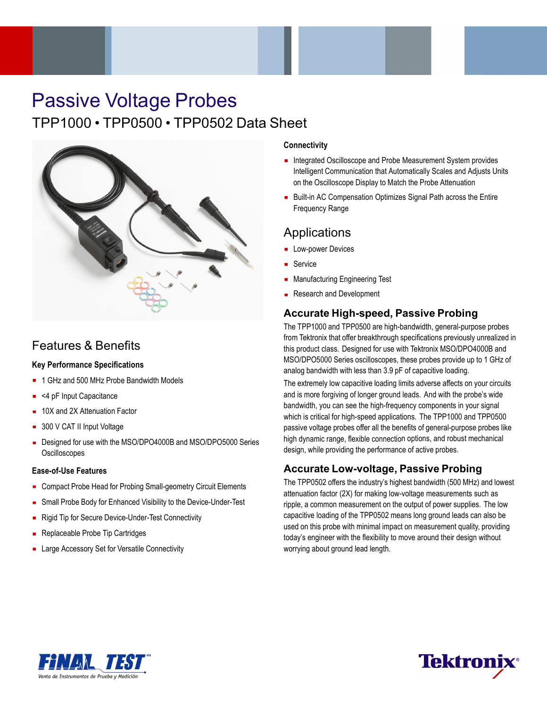# Passive Voltage Probes TPP1000 • TPP0500 • TPP0502 Data Sheet



## Features & Benefits

### **Key Performance Specifications**

- 1 GHz and 500 MHz Probe Bandwidth Models
- <4 pF Input Capacitance
- 10X and 2X Attenuation Factor
- 300 V CAT II Input Voltage
- Designed for use with the MSO/DPO4000B and MSO/DPO5000 Series **Oscilloscopes**

#### **Ease-of-Use Features**

- Compact Probe Head for Probing Small-geometry Circuit Elements
- **Small Probe Body for Enhanced Visibility to the Device-Under-Test**
- Rigid Tip for Secure Device-Under-Test Connectivity  $\blacksquare$
- Replaceable Probe Tip Cartridges
- **EXEC** Large Accessory Set for Versatile Connectivity

#### **Connectivity**

- **Integrated Oscilloscope and Probe Measurement System provides** Intelligent Communication that Automatically Scales and Adjusts Units on the Oscilloscope Display to Match the Probe Attenuation
- Built-in AC Compensation Optimizes Signal Path across the Entire Frequency Range

### **Applications**

- **Low-power Devices**
- Service
- **Manufacturing Engineering Test**
- Research and Development

### **Accurate High-speed, Passive Probing**

The TPP1000 and TPP0500 are high-bandwidth, general-purpose probes from Tektronix that offer breakthrough specifications previously unrealized in this product class. Designed for use with Tektronix MSO/DPO4000B and MSO/DPO5000 Series oscilloscopes, these probes provide up to 1 GHz of analog bandwidth with less than 3.9 pF of capacitive loading.

The extremely low capacitive loading limits adverse affects on your circuits and is more forgiving of longer ground leads. And with the probe's wide bandwidth, you can see the high-frequency components in your signal which is critical for high-speed applications. The TPP1000 and TPP0500 passive voltage probes offer all the benefits of general-purpose probes like high dynamic range, flexible connection options, and robust mechanical design, while providing the performance of active probes.

### **Accurate Low-voltage, Passive Probing**

The TPP0502 offers the industry's highest bandwidth (500 MHz) and lowest attenuation factor (2X) for making low-voltage measurements such as ripple, a common measurement on the output of power supplies. The low capacitive loading of the TPP0502 means long ground leads can also be used on this probe with minimal impact on measurement quality, providing today's engineer with the flexibility to move around their design without worrying about ground lead length.



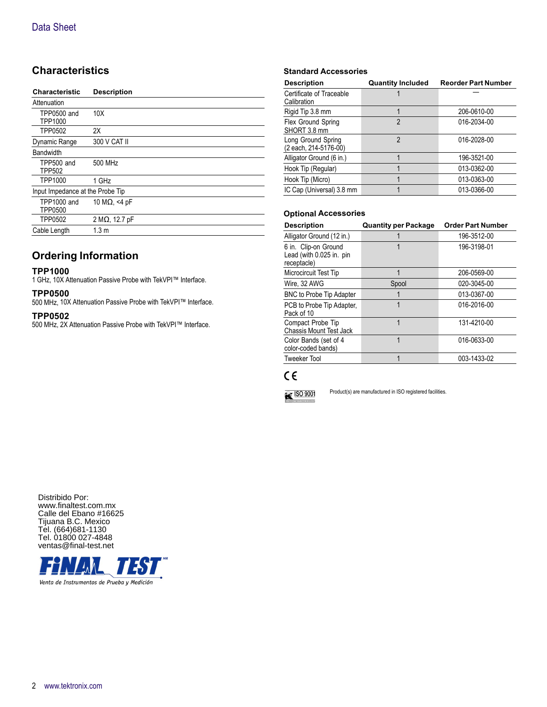### **Characteristics**

| <b>Characteristic</b>            | <b>Description</b>     |
|----------------------------------|------------------------|
| Attenuation                      |                        |
| <b>TPP0500 and</b><br>TPP1000    | 10X                    |
| <b>TPP0502</b>                   | 2X                     |
| Dynamic Range                    | 300 V CAT II           |
| <b>Bandwidth</b>                 |                        |
| TPP500 and<br><b>TPP502</b>      | 500 MHz                |
| TPP1000                          | 1 GHz                  |
| Input Impedance at the Probe Tip |                        |
| TPP1000 and<br><b>TPP0500</b>    | 10 M $\Omega$ , <4 pF  |
| TPP0502                          | 2 M $\Omega$ , 12.7 pF |
| Cable Length                     | 1.3 <sub>m</sub>       |

### **Ordering Information**

#### **TPP1000**

1 GHz, 10X Attenuation Passive Probe with TekVPI™ Interface.

#### **TPP0500**

500 MHz, 10X Attenuation Passive Probe with TekVPI™ Interface.

#### **TPP0502**

500 MHz, 2X Attenuation Passive Probe with TekVPI™ Interface.

#### **Standard Accessories**

| <b>Description</b>                          | <b>Quantity Included</b> | <b>Reorder Part Number</b> |
|---------------------------------------------|--------------------------|----------------------------|
| Certificate of Traceable<br>Calibration     |                          |                            |
| Rigid Tip 3.8 mm                            |                          | 206-0610-00                |
| Flex Ground Spring<br>SHORT 3.8 mm          | $\mathfrak{p}$           | 016-2034-00                |
| Long Ground Spring<br>(2 each, 214-5176-00) | $\mathfrak{p}$           | 016-2028-00                |
| Alligator Ground (6 in.)                    |                          | 196-3521-00                |
| Hook Tip (Regular)                          |                          | 013-0362-00                |
| Hook Tip (Micro)                            |                          | 013-0363-00                |
| IC Cap (Universal) 3.8 mm                   |                          | 013-0366-00                |

#### **Optional Accessories**

| <b>Description</b>                                              | <b>Quantity per Package</b> | <b>Order Part Number</b> |
|-----------------------------------------------------------------|-----------------------------|--------------------------|
| Alligator Ground (12 in.)                                       |                             | 196-3512-00              |
| 6 in. Clip-on Ground<br>Lead (with 0.025 in. pin<br>receptacle) |                             | 196-3198-01              |
| Microcircuit Test Tip                                           |                             | 206-0569-00              |
| Wire, 32 AWG                                                    | Spool                       | 020-3045-00              |
| <b>BNC to Probe Tip Adapter</b>                                 |                             | 013-0367-00              |
| PCB to Probe Tip Adapter,<br>Pack of 10                         |                             | 016-2016-00              |
| Compact Probe Tip<br><b>Chassis Mount Test Jack</b>             |                             | 131-4210-00              |
| Color Bands (set of 4<br>color-coded bands)                     | 1                           | 016-0633-00              |
| <b>Tweeker Tool</b>                                             |                             | 003-1433-02              |

### $C \in$



Product(s) are manufactured in ISO registered facilities.

Distribido Por: www.finaltest.com.mx Calle del Ebano #16625 Tijuana B.C. Mexico Tel. (664)681-1130 Tel. 01800 027-4848 ventas@final-test.net